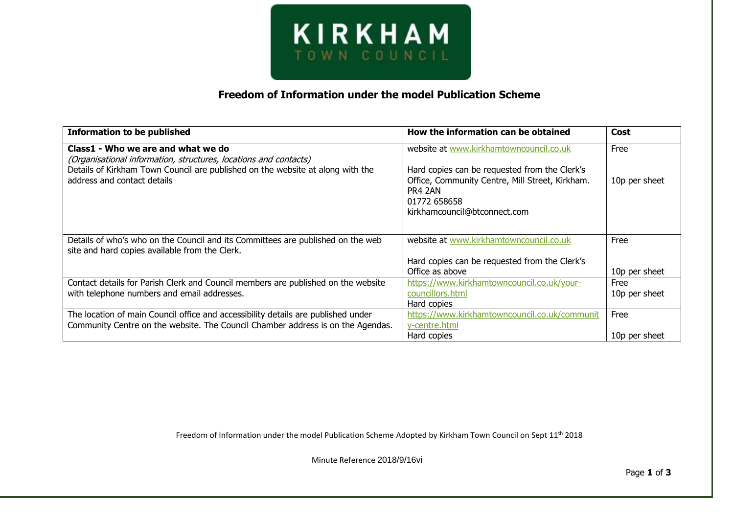

## **Freedom of Information under the model Publication Scheme**

| <b>Information to be published</b>                                                                                                                 | How the information can be obtained                        | Cost          |
|----------------------------------------------------------------------------------------------------------------------------------------------------|------------------------------------------------------------|---------------|
| Class1 - Who we are and what we do                                                                                                                 | website at www.kirkhamtowncouncil.co.uk                    | Free          |
| (Organisational information, structures, locations and contacts)<br>Details of Kirkham Town Council are published on the website at along with the | Hard copies can be requested from the Clerk's              |               |
| address and contact details                                                                                                                        | Office, Community Centre, Mill Street, Kirkham.<br>PR4 2AN | 10p per sheet |
|                                                                                                                                                    | 01772 658658<br>kirkhamcouncil@btconnect.com               |               |
|                                                                                                                                                    |                                                            |               |
| Details of who's who on the Council and its Committees are published on the web                                                                    | website at www.kirkhamtowncouncil.co.uk                    | Free          |
| site and hard copies available from the Clerk.                                                                                                     |                                                            |               |
|                                                                                                                                                    | Hard copies can be requested from the Clerk's              |               |
|                                                                                                                                                    | Office as above                                            | 10p per sheet |
| Contact details for Parish Clerk and Council members are published on the website                                                                  | https://www.kirkhamtowncouncil.co.uk/your-                 | Free          |
| with telephone numbers and email addresses.                                                                                                        | councillors.html                                           | 10p per sheet |
|                                                                                                                                                    | Hard copies                                                |               |
| The location of main Council office and accessibility details are published under                                                                  | https://www.kirkhamtowncouncil.co.uk/communit              | Free          |
| Community Centre on the website. The Council Chamber address is on the Agendas.                                                                    | y-centre.html                                              |               |
|                                                                                                                                                    | Hard copies                                                | 10p per sheet |

Freedom of Information under the model Publication Scheme Adopted by Kirkham Town Council on Sept 11<sup>th</sup> 2018

Minute Reference 2018/9/16vi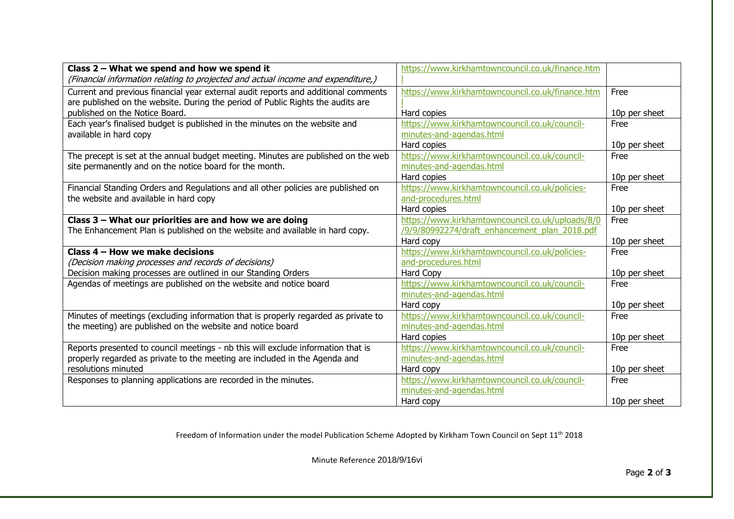| Class $2$ – What we spend and how we spend it                                      | https://www.kirkhamtowncouncil.co.uk/finance.htm |               |
|------------------------------------------------------------------------------------|--------------------------------------------------|---------------|
| (Financial information relating to projected and actual income and expenditure,)   |                                                  |               |
| Current and previous financial year external audit reports and additional comments | https://www.kirkhamtowncouncil.co.uk/finance.htm | Free          |
| are published on the website. During the period of Public Rights the audits are    |                                                  |               |
| published on the Notice Board.                                                     | Hard copies                                      | 10p per sheet |
| Each year's finalised budget is published in the minutes on the website and        | https://www.kirkhamtowncouncil.co.uk/council-    | Free          |
| available in hard copy                                                             | minutes-and-agendas.html                         |               |
|                                                                                    | Hard copies                                      | 10p per sheet |
| The precept is set at the annual budget meeting. Minutes are published on the web  | https://www.kirkhamtowncouncil.co.uk/council-    | Free          |
| site permanently and on the notice board for the month.                            | minutes-and-agendas.html                         |               |
|                                                                                    | Hard copies                                      | 10p per sheet |
| Financial Standing Orders and Regulations and all other policies are published on  | https://www.kirkhamtowncouncil.co.uk/policies-   | Free          |
| the website and available in hard copy                                             | and-procedures.html                              |               |
|                                                                                    | Hard copies                                      | 10p per sheet |
| Class 3 - What our priorities are and how we are doing                             | https://www.kirkhamtowncouncil.co.uk/uploads/8/0 | Free          |
| The Enhancement Plan is published on the website and available in hard copy.       | /9/9/80992274/draft enhancement plan 2018.pdf    |               |
|                                                                                    | Hard copy                                        | 10p per sheet |
| Class 4 – How we make decisions                                                    | https://www.kirkhamtowncouncil.co.uk/policies-   | Free          |
| (Decision making processes and records of decisions)                               | and-procedures.html                              |               |
| Decision making processes are outlined in our Standing Orders                      | <b>Hard Copy</b>                                 | 10p per sheet |
| Agendas of meetings are published on the website and notice board                  | https://www.kirkhamtowncouncil.co.uk/council-    | Free          |
|                                                                                    | minutes-and-agendas.html                         |               |
|                                                                                    | Hard copy                                        | 10p per sheet |
| Minutes of meetings (excluding information that is properly regarded as private to | https://www.kirkhamtowncouncil.co.uk/council-    | Free          |
| the meeting) are published on the website and notice board                         | minutes-and-agendas.html                         |               |
|                                                                                    | Hard copies                                      | 10p per sheet |
| Reports presented to council meetings - nb this will exclude information that is   | https://www.kirkhamtowncouncil.co.uk/council-    | Free          |
| properly regarded as private to the meeting are included in the Agenda and         | minutes-and-agendas.html                         |               |
| resolutions minuted                                                                | Hard copy                                        | 10p per sheet |
| Responses to planning applications are recorded in the minutes.                    | https://www.kirkhamtowncouncil.co.uk/council-    | Free          |
|                                                                                    | minutes-and-agendas.html                         |               |
|                                                                                    | Hard copy                                        | 10p per sheet |

Freedom of Information under the model Publication Scheme Adopted by Kirkham Town Council on Sept 11<sup>th</sup> 2018

Minute Reference 2018/9/16vi